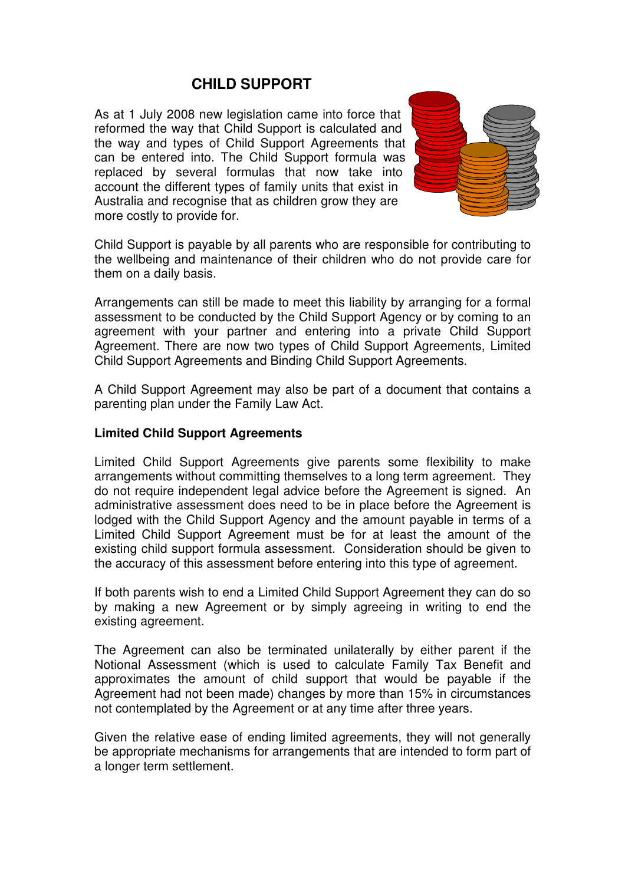# **CHILD SUPPORT**

As at 1 July 2008 new legislation came into force that reformed the way that Child Support is calculated and the way and types of Child Support Agreements that can be entered into. The Child Support formula was replaced by several formulas that now take into account the different types of family units that exist in Australia and recognise that as children grow they are more costly to provide for.



Child Support is payable by all parents who are responsible for contributing to the wellbeing and maintenance of their children who do not provide care for them on a daily basis.

Arrangements can still be made to meet this liability by arranging for a formal assessment to be conducted by the Child Support Agency or by coming to an agreement with your partner and entering into a private Child Support Agreement. There are now two types of Child Support Agreements, Limited Child Support Agreements and Binding Child Support Agreements.

A Child Support Agreement may also be part of a document that contains a parenting plan under the Family Law Act.

#### **Limited Child Support Agreements**

Limited Child Support Agreements give parents some flexibility to make arrangements without committing themselves to a long term agreement. They do not require independent legal advice before the Agreement is signed. An administrative assessment does need to be in place before the Agreement is lodged with the Child Support Agency and the amount payable in terms of a Limited Child Support Agreement must be for at least the amount of the existing child support formula assessment. Consideration should be given to the accuracy of this assessment before entering into this type of agreement.

If both parents wish to end a Limited Child Support Agreement they can do so by making a new Agreement or by simply agreeing in writing to end the existing agreement.

The Agreement can also be terminated unilaterally by either parent if the Notional Assessment (which is used to calculate Family Tax Benefit and approximates the amount of child support that would be payable if the Agreement had not been made) changes by more than 15% in circumstances not contemplated by the Agreement or at any time after three years.

Given the relative ease of ending limited agreements, they will not generally be appropriate mechanisms for arrangements that are intended to form part of a longer term settlement.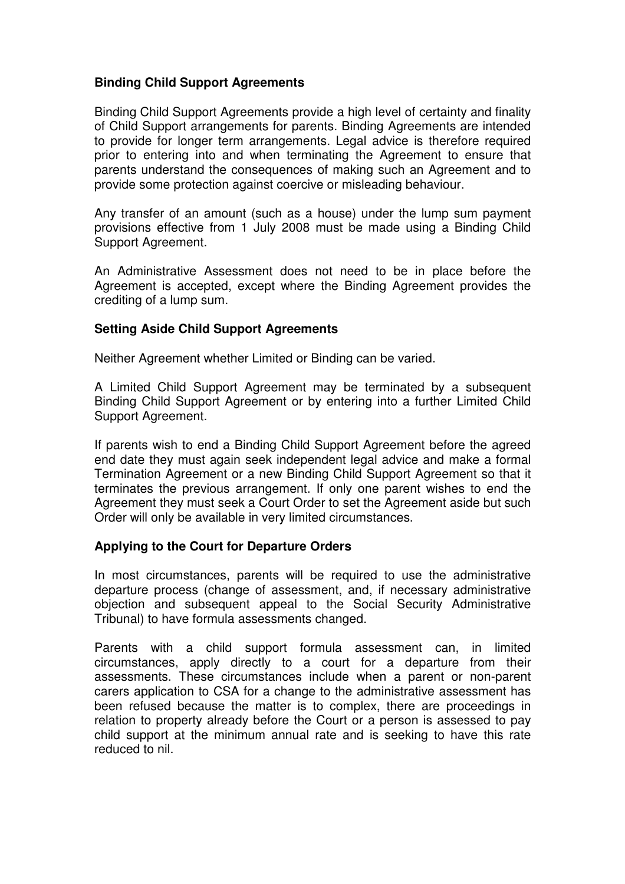## **Binding Child Support Agreements**

Binding Child Support Agreements provide a high level of certainty and finality of Child Support arrangements for parents. Binding Agreements are intended to provide for longer term arrangements. Legal advice is therefore required prior to entering into and when terminating the Agreement to ensure that parents understand the consequences of making such an Agreement and to provide some protection against coercive or misleading behaviour.

Any transfer of an amount (such as a house) under the lump sum payment provisions effective from 1 July 2008 must be made using a Binding Child Support Agreement.

An Administrative Assessment does not need to be in place before the Agreement is accepted, except where the Binding Agreement provides the crediting of a lump sum.

### **Setting Aside Child Support Agreements**

Neither Agreement whether Limited or Binding can be varied.

A Limited Child Support Agreement may be terminated by a subsequent Binding Child Support Agreement or by entering into a further Limited Child Support Agreement.

If parents wish to end a Binding Child Support Agreement before the agreed end date they must again seek independent legal advice and make a formal Termination Agreement or a new Binding Child Support Agreement so that it terminates the previous arrangement. If only one parent wishes to end the Agreement they must seek a Court Order to set the Agreement aside but such Order will only be available in very limited circumstances.

### **Applying to the Court for Departure Orders**

In most circumstances, parents will be required to use the administrative departure process (change of assessment, and, if necessary administrative objection and subsequent appeal to the Social Security Administrative Tribunal) to have formula assessments changed.

Parents with a child support formula assessment can, in limited circumstances, apply directly to a court for a departure from their assessments. These circumstances include when a parent or non-parent carers application to CSA for a change to the administrative assessment has been refused because the matter is to complex, there are proceedings in relation to property already before the Court or a person is assessed to pay child support at the minimum annual rate and is seeking to have this rate reduced to nil.